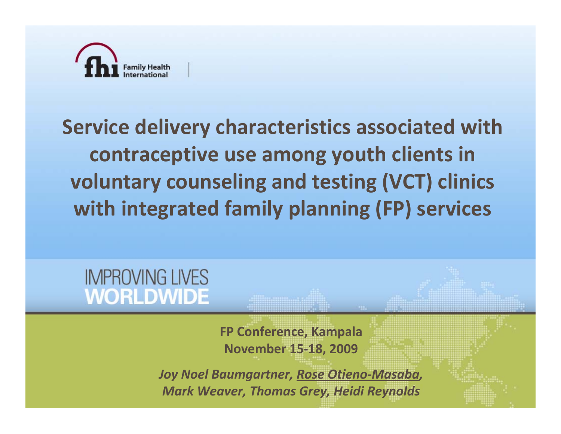

## **Service delivery characteristics associated with contraceptive use among youth clients in voluntary counseling and testing (VCT) clinics with integrated family planning (FP) services**

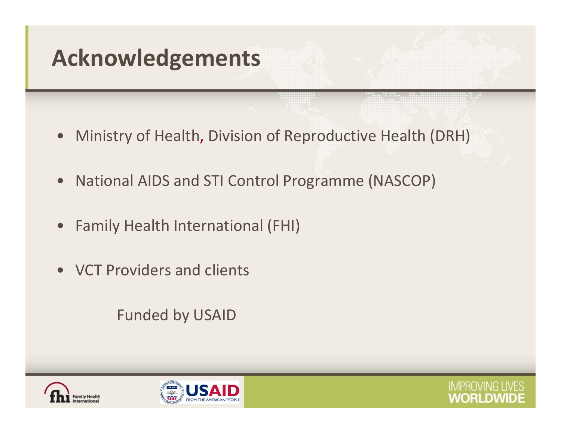# **Acknowledgements**

- $\bullet$ Ministry of Health, Division of Reproductive Health (DRH)
- $\bullet$ • National AIDS and STI Control Programme (NASCOP)
- $\bullet$ Family Health International (FHI)
- VCT Providers and clients

Funded by USAID





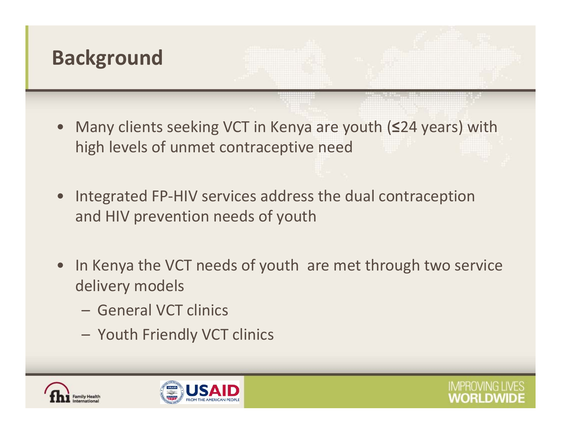

- $\bullet$  Many clients seeking VCT in Kenya are youth (**≤**24 years) with high levels of unmet contraceptive need
- Integrated FP‐HIV services address the dual contraception and HIV prevention needs of youth
- $\bullet$ • In Kenya the VCT needs of youth are met through two service delivery models
	- General VCT clinics
	- Youth Friendly VCT clinics





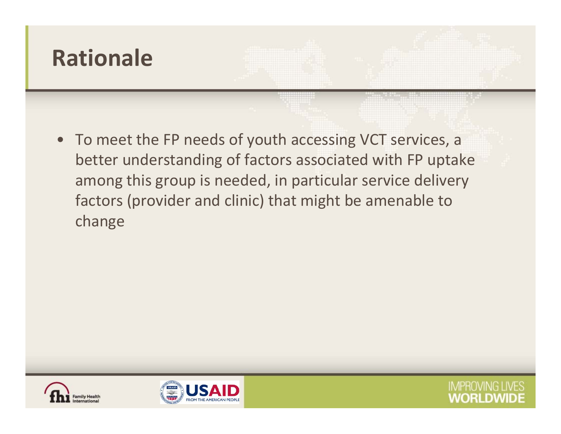

• To meet the FP needs of youth accessing VCT services, <sup>a</sup> better understanding of factors associated with FP uptake among this group is needed, in particular service delivery factors (provider and clinic) that might be amenable to change





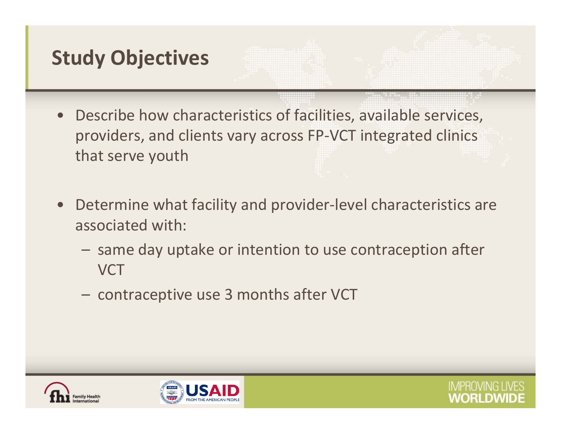### **Study Objectives**

- Describe how characteristics of facilities, available services, providers, and clients vary across FP‐VCT integrated clinics that serve youth
- $\bullet$  Determine what facility and provider‐level characteristics are associated with:
	- $-$  same day uptake or intention to use contraception after VCT
	- $-$  contraceptive use 3 months after VCT





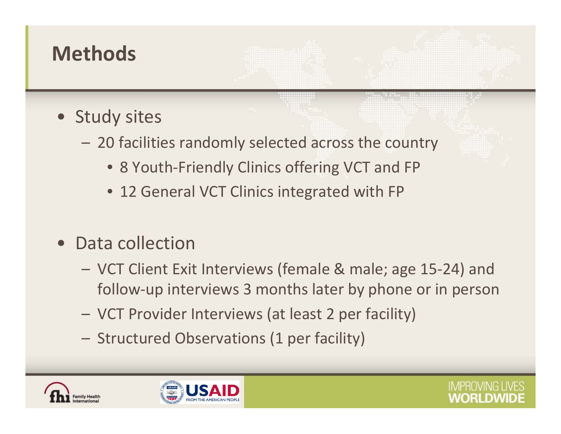#### **Methods**

- Study sites
	- 20 facilities randomly selected across the country
		- 8 Youth‐Friendly Clinics offering VCT and FP
		- 12 General VCT Clinics integrated with FP
- Data collection
	- – VCT Client Exit Interviews (female & male; age 15‐24) and follow‐up interviews 3 months later by phone or in person
	- –VCT Provider Interviews (at least 2 per facility)
	- Structured Observations (1 per facility)





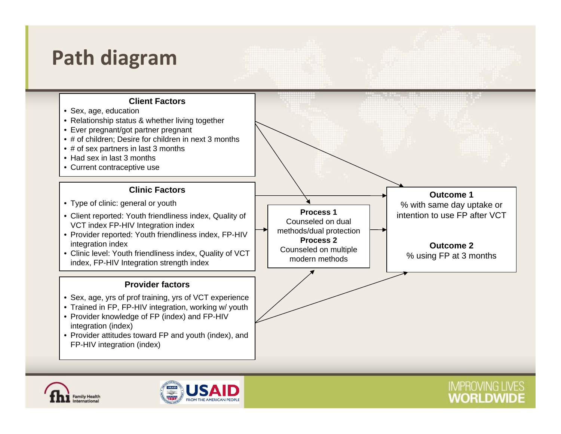#### **Path diagram**





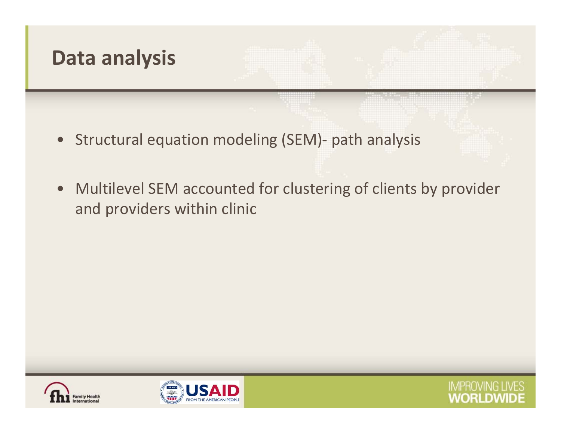

- $\bullet$ Structural equation modeling (SEM)‐ path analysis
- $\bullet$  Multilevel SEM accounted for clustering of clients by provider and providers within clinic





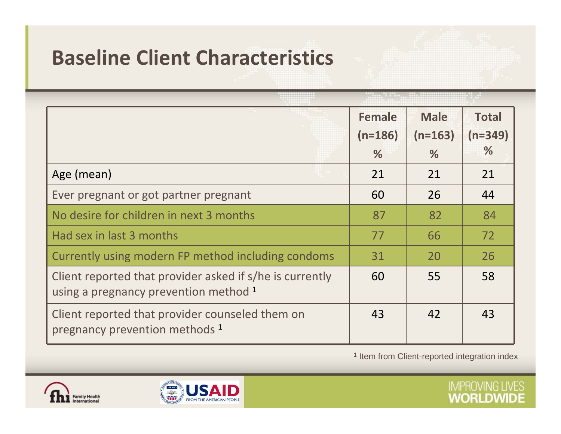#### **Baseline Client Characteristics**

| Age (mean)                                                                                        | <b>Female</b><br>$(n=186)$<br>%<br>21 | <b>Male</b><br>$(n=163)$<br>%<br>21 | <b>Total</b><br>$(n=349)$<br>$\%$<br>21 |
|---------------------------------------------------------------------------------------------------|---------------------------------------|-------------------------------------|-----------------------------------------|
| Ever pregnant or got partner pregnant                                                             | 60                                    | 26                                  | 44                                      |
| No desire for children in next 3 months                                                           | 87                                    | 82                                  | 84                                      |
| Had sex in last 3 months                                                                          | 77                                    | 66                                  | 72                                      |
| Currently using modern FP method including condoms                                                | 31                                    | 20                                  | 26                                      |
| Client reported that provider asked if s/he is currently<br>using a pregnancy prevention method 1 | 60                                    | 55                                  | 58                                      |
| Client reported that provider counseled them on<br>pregnancy prevention methods 1                 | 43                                    | 42                                  | 43                                      |

<sup>1</sup> Item from Client-reported integration index



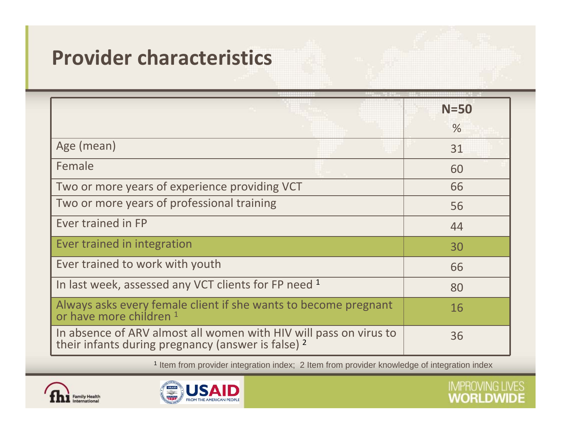#### **Provider characteristics**

|                                                                                                                         | $N = 50$      |
|-------------------------------------------------------------------------------------------------------------------------|---------------|
|                                                                                                                         | $\frac{0}{6}$ |
| Age (mean)                                                                                                              | 31            |
| Female                                                                                                                  | 60            |
| Two or more years of experience providing VCT                                                                           | 66            |
| Two or more years of professional training                                                                              | 56            |
| Ever trained in FP                                                                                                      | 44            |
| Ever trained in integration                                                                                             | 30            |
| Ever trained to work with youth                                                                                         | 66            |
| In last week, assessed any VCT clients for FP need 1                                                                    | 80            |
| Always asks every female client if she wants to become pregnant<br>or have more children 1                              | 16            |
| In absence of ARV almost all women with HIV will pass on virus to<br>their infants during pregnancy (answer is false) 2 | 36            |

1 Item from provider integration index; 2 Item from provider knowledge of integration index



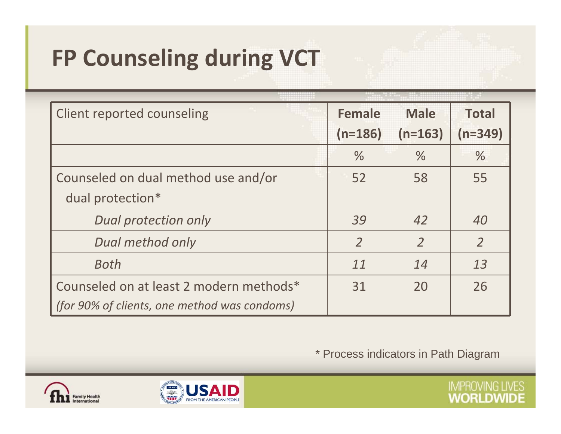# **FP Counseling during VCT**

| <b>Client reported counseling</b>            | <b>Female</b>  | <b>Male</b>    | <b>Total</b>   |
|----------------------------------------------|----------------|----------------|----------------|
|                                              | $(n=186)$      | $(n=163)$      | $(n=349)$      |
|                                              | $\%$           | $\%$           | $\%$           |
| Counseled on dual method use and/or          | 52             | 58             | 55             |
| dual protection*                             |                |                |                |
| <b>Dual protection only</b>                  | 39             | 42             | 40             |
| Dual method only                             | $\overline{2}$ | $\overline{2}$ | $\overline{2}$ |
| Both                                         | 11             | 14             | 13             |
| Counseled on at least 2 modern methods*      | 31             | 20             | 26             |
| (for 90% of clients, one method was condoms) |                |                |                |

\* Process indicators in Path Diagram



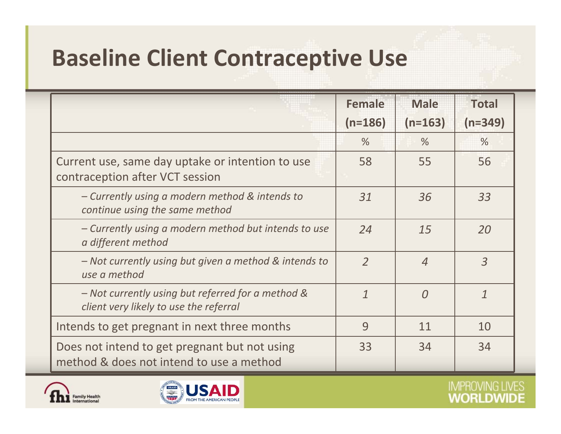# **Baseline Client Contraceptive Use**

|                                                                                             | <b>Female</b><br>$(n=186)$ | <b>Male</b><br>$(n=163)$ | <b>Total</b><br>$(n=349)$ |
|---------------------------------------------------------------------------------------------|----------------------------|--------------------------|---------------------------|
|                                                                                             | $\frac{9}{6}$              | $\frac{9}{6}$            | $\frac{0}{0}$             |
| Current use, same day uptake or intention to use<br>contraception after VCT session         | 58                         | 55                       | 56                        |
| - Currently using a modern method & intends to<br>continue using the same method            | 31                         | 36                       | 33                        |
| - Currently using a modern method but intends to use<br>a different method                  | 24                         | 15                       | 20                        |
| - Not currently using but given a method & intends to<br>use a method                       | $\overline{2}$             | $\overline{4}$           | $\overline{3}$            |
| - Not currently using but referred for a method &<br>client very likely to use the referral | $\boldsymbol{\eta}$        | $\Omega$                 | $\mathcal{I}$             |
| Intends to get pregnant in next three months                                                | 9                          | 11                       | 10                        |
| Does not intend to get pregnant but not using<br>method & does not intend to use a method   | 33                         | 34                       | 34                        |



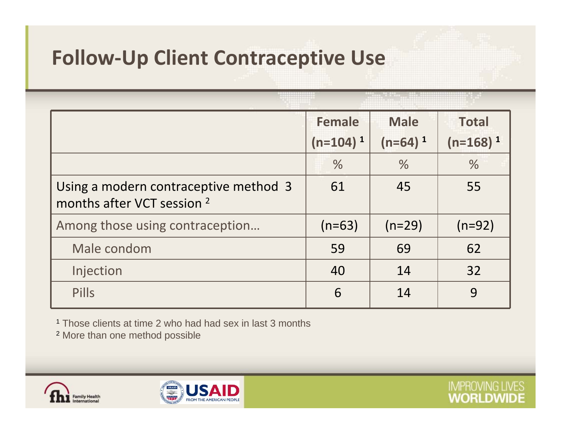#### **Follow‐Up Client Contraceptive Use**

|                                                                                | <b>Female</b><br>$(n=104)^1$ | <b>Male</b><br>$(n=64)^1$ | <b>Total</b><br>$(n=168)^1$ |
|--------------------------------------------------------------------------------|------------------------------|---------------------------|-----------------------------|
|                                                                                | $\frac{0}{6}$                | $\frac{0}{6}$             | $\frac{0}{6}$               |
| Using a modern contraceptive method 3<br>months after VCT session <sup>2</sup> | 61                           | 45                        | 55                          |
| Among those using contraception                                                | $(n=63)$                     | $(n=29)$                  | $(n=92)$                    |
| Male condom                                                                    | 59                           | 69                        | 62                          |
| Injection                                                                      | 40                           | 14                        | 32                          |
| <b>Pills</b>                                                                   | 6                            | 14                        | 9                           |

**IMPROVING LIVES WORLDWIDE** 

1 Those clients at time 2 who had had sex in last 3 months

2 More than one method possible



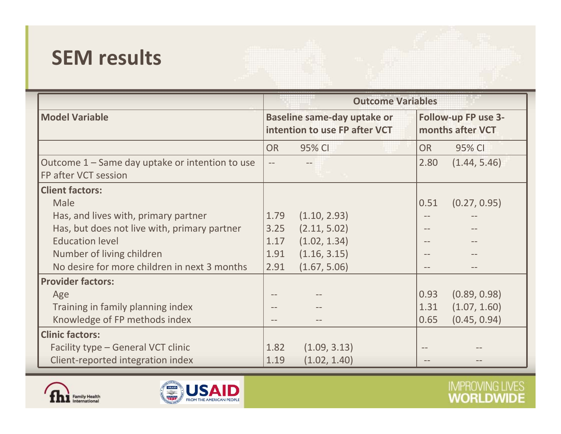#### **SEM results**

|                                                                         | <b>Outcome Variables</b>                                            |              |                                         |                   |              |
|-------------------------------------------------------------------------|---------------------------------------------------------------------|--------------|-----------------------------------------|-------------------|--------------|
| <b>Model Variable</b>                                                   | <b>Baseline same-day uptake or</b><br>intention to use FP after VCT |              | Follow-up FP use 3-<br>months after VCT |                   |              |
|                                                                         | <b>OR</b>                                                           | 95% CI       |                                         | <b>OR</b>         | 95% CI       |
| Outcome 1 – Same day uptake or intention to use<br>FP after VCT session |                                                                     |              |                                         | 2.80              | (1.44, 5.46) |
| <b>Client factors:</b>                                                  |                                                                     |              |                                         |                   |              |
| Male                                                                    |                                                                     |              |                                         | 0.51              | (0.27, 0.95) |
| Has, and lives with, primary partner                                    | 1.79                                                                | (1.10, 2.93) |                                         | $\qquad \qquad -$ |              |
| Has, but does not live with, primary partner                            | 3.25                                                                | (2.11, 5.02) |                                         |                   |              |
| <b>Education level</b>                                                  | 1.17                                                                | (1.02, 1.34) |                                         |                   |              |
| Number of living children                                               | 1.91                                                                | (1.16, 3.15) |                                         |                   |              |
| No desire for more children in next 3 months                            | 2.91                                                                | (1.67, 5.06) |                                         |                   |              |
| <b>Provider factors:</b>                                                |                                                                     |              |                                         |                   |              |
| Age                                                                     |                                                                     |              |                                         | 0.93              | (0.89, 0.98) |
| Training in family planning index                                       |                                                                     |              |                                         | 1.31              | (1.07, 1.60) |
| Knowledge of FP methods index                                           |                                                                     |              |                                         | 0.65              | (0.45, 0.94) |
| <b>Clinic factors:</b>                                                  |                                                                     |              |                                         |                   |              |
| Facility type - General VCT clinic                                      | 1.82                                                                | (1.09, 3.13) |                                         |                   |              |
| Client-reported integration index                                       | 1.19                                                                | (1.02, 1.40) |                                         |                   |              |